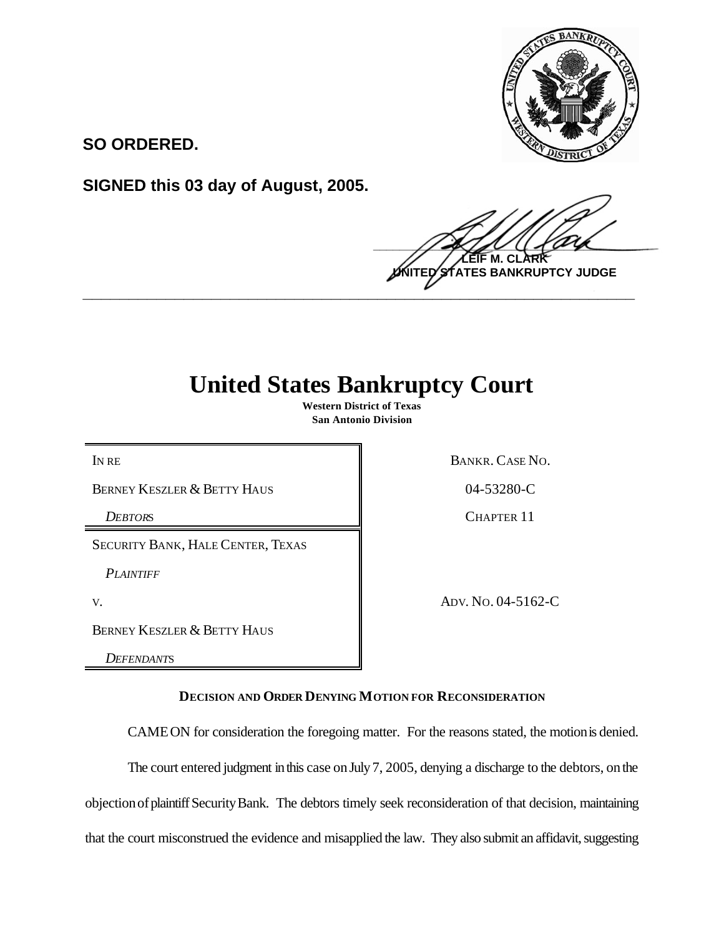

**SO ORDERED.**

**SIGNED this 03 day of August, 2005.**

 $\frac{1}{2}$ **M. TES BANKRUPTCY JUDGE \_\_\_\_\_\_\_\_\_\_\_\_\_\_\_\_\_\_\_\_\_\_\_\_\_\_\_\_\_\_\_\_\_\_\_\_\_\_\_\_\_\_\_\_\_\_\_\_\_\_\_\_\_\_\_\_\_\_\_\_**

## **United States Bankruptcy Court**

**Western District of Texas San Antonio Division**

BERNEY KESZLER & BETTY HAUS **14-53280-C** 

SECURITY BANK, HALE CENTER, TEXAS

*PLAINTIFF*

BERNEY KESZLER & BETTY HAUS

*DEFENDANT*S

IN RE BANKR. CASE NO.

*DEBTOR*S CHAPTER 11

v. ADV. No. 04-5162-C

**DECISION AND ORDER DENYING MOTION FOR RECONSIDERATION**

CAMEON for consideration the foregoing matter. For the reasons stated, the motionis denied.

The court entered judgment in this case on July 7, 2005, denying a discharge to the debtors, on the

objectionofplaintiffSecurityBank. The debtors timely seek reconsideration of that decision, maintaining

that the court misconstrued the evidence and misapplied the law. They also submit an affidavit, suggesting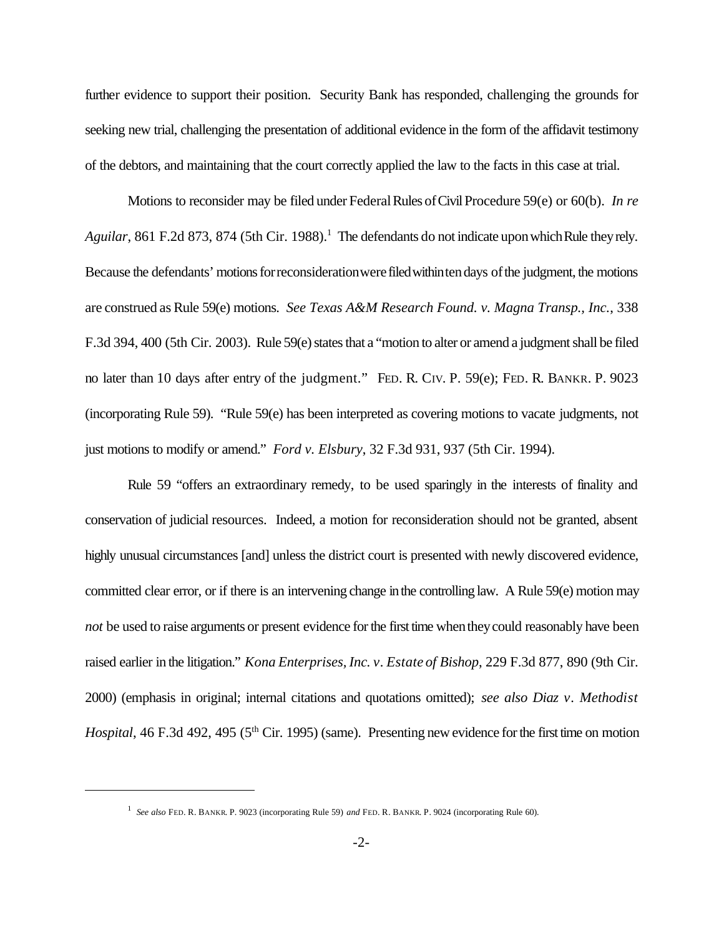further evidence to support their position. Security Bank has responded, challenging the grounds for seeking new trial, challenging the presentation of additional evidence in the form of the affidavit testimony of the debtors, and maintaining that the court correctly applied the law to the facts in this case at trial.

Motions to reconsider may be filed under Federal Rules of Civil Procedure 59(e) or 60(b). *In re Aguilar*, 861 F.2d 873, 874 (5th Cir. 1988).<sup>1</sup> The defendants do not indicate upon which Rule they rely. Because the defendants' motions for reconsideration were filed withinten days of the judgment, the motions are construed as Rule 59(e) motions. *See Texas A&M Research Found. v. Magna Transp., Inc.*, 338 F.3d 394, 400 (5th Cir. 2003). Rule 59(e) states that a "motion to alter or amend a judgment shall be filed no later than 10 days after entry of the judgment." FED. R. CIV. P. 59(e); FED. R. BANKR. P. 9023 (incorporating Rule 59). "Rule 59(e) has been interpreted as covering motions to vacate judgments, not just motions to modify or amend." *Ford v. Elsbury*, 32 F.3d 931, 937 (5th Cir. 1994).

Rule 59 "offers an extraordinary remedy, to be used sparingly in the interests of finality and conservation of judicial resources. Indeed, a motion for reconsideration should not be granted, absent highly unusual circumstances [and] unless the district court is presented with newly discovered evidence, committed clear error, or if there is an intervening change inthe controlling law. A Rule 59(e) motion may *not* be used to raise arguments or present evidence for the first time when they could reasonably have been raised earlier in the litigation." *Kona Enterprises, Inc. v. Estate of Bishop*, 229 F.3d 877, 890 (9th Cir. 2000) (emphasis in original; internal citations and quotations omitted); *see also Diaz v. Methodist Hospital*, 46 F.3d 492, 495 (5<sup>th</sup> Cir. 1995) (same). Presenting new evidence for the first time on motion

<sup>1</sup>  *See also* FED. R. BANKR. P. 9023 (incorporating Rule 59) *and* FED. R. BANKR. P. 9024 (incorporating Rule 60).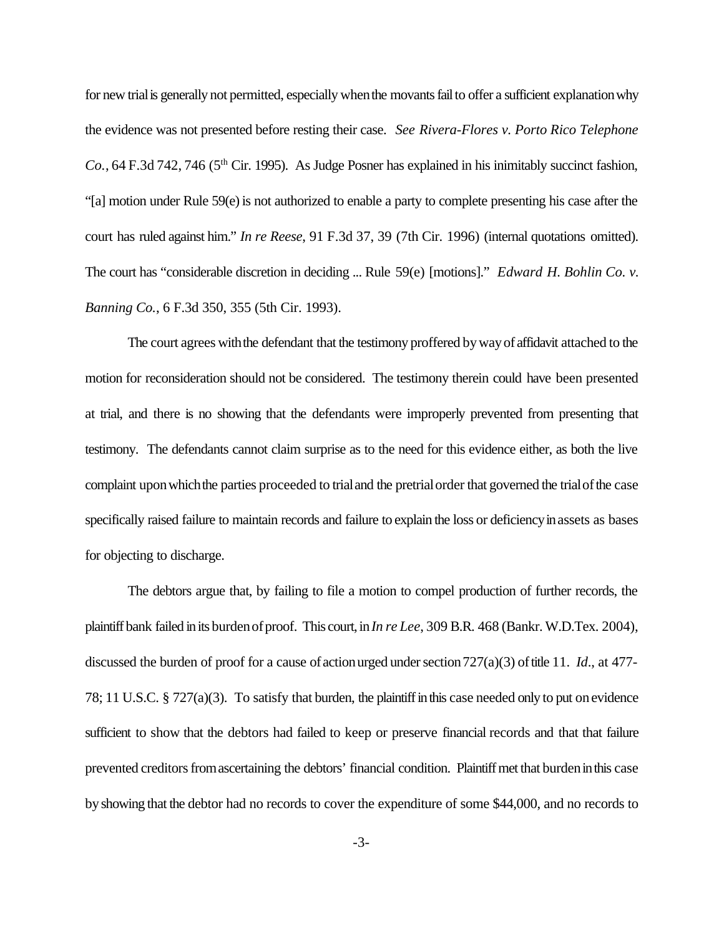for new trial is generally not permitted, especially when the movants fail to offer a sufficient explanation why the evidence was not presented before resting their case. *See Rivera-Flores v. Porto Rico Telephone Co.*, 64 F.3d 742, 746 (5<sup>th</sup> Cir. 1995). As Judge Posner has explained in his inimitably succinct fashion, "[a] motion under Rule 59(e) is not authorized to enable a party to complete presenting his case after the court has ruled against him." *In re Reese*, 91 F.3d 37, 39 (7th Cir. 1996) (internal quotations omitted). The court has "considerable discretion in deciding ... Rule 59(e) [motions]." *Edward H. Bohlin Co. v. Banning Co.*, 6 F.3d 350, 355 (5th Cir. 1993).

The court agrees withthe defendant that the testimony proffered bywayof affidavit attached to the motion for reconsideration should not be considered. The testimony therein could have been presented at trial, and there is no showing that the defendants were improperly prevented from presenting that testimony. The defendants cannot claim surprise as to the need for this evidence either, as both the live complaint upon which the parties proceeded to trial and the pretrial order that governed the trial of the case specifically raised failure to maintain records and failure to explain the loss or deficiency in assets as bases for objecting to discharge.

The debtors argue that, by failing to file a motion to compel production of further records, the plaintiff bank failed inits burdenofproof. This court, in *In re Lee*, 309 B.R. 468 (Bankr. W.D.Tex. 2004), discussed the burden of proof for a cause of actionurged under section 727(a)(3) of title 11. *Id.*, at 477-78; 11 U.S.C. § 727(a)(3). To satisfy that burden, the plaintiffinthis case needed only to put onevidence sufficient to show that the debtors had failed to keep or preserve financial records and that that failure prevented creditors from ascertaining the debtors' financial condition. Plaintiff met that burden in this case byshowing that the debtor had no records to cover the expenditure of some \$44,000, and no records to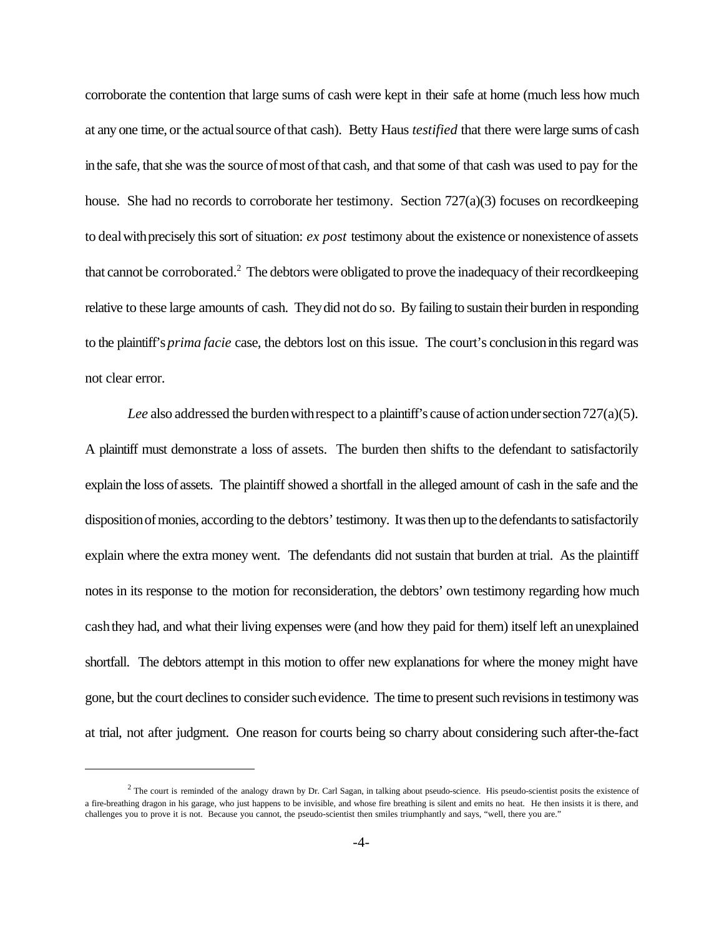corroborate the contention that large sums of cash were kept in their safe at home (much less how much at any one time, or the actualsource ofthat cash). Betty Haus *testified* that there were large sums of cash in the safe, that she was the source of most of that cash, and that some of that cash was used to pay for the house. She had no records to corroborate her testimony. Section 727(a)(3) focuses on recordkeeping to dealwithprecisely this sort of situation: *ex post* testimony about the existence or nonexistence of assets that cannot be corroborated.<sup>2</sup> The debtors were obligated to prove the inadequacy of their recordkeeping relative to these large amounts of cash. Theydid not do so. By failing to sustain their burden in responding to the plaintiff's *prima facie* case, the debtors lost on this issue. The court's conclusioninthisregard was not clear error.

*Lee* also addressed the burden with respect to a plaintiff's cause of action under section 727(a)(5). A plaintiff must demonstrate a loss of assets. The burden then shifts to the defendant to satisfactorily explain the loss of assets. The plaintiff showed a shortfall in the alleged amount of cash in the safe and the disposition of monies, according to the debtors' testimony. It was then up to the defendants to satisfactorily explain where the extra money went. The defendants did not sustain that burden at trial. As the plaintiff notes in its response to the motion for reconsideration, the debtors' own testimony regarding how much cashthey had, and what their living expenses were (and how they paid for them) itself left anunexplained shortfall. The debtors attempt in this motion to offer new explanations for where the money might have gone, but the court declines to consider such evidence. The time to present such revisions in testimony was at trial, not after judgment. One reason for courts being so charry about considering such after-the-fact

 $<sup>2</sup>$  The court is reminded of the analogy drawn by Dr. Carl Sagan, in talking about pseudo-science. His pseudo-scientist posits the existence of</sup> a fire-breathing dragon in his garage, who just happens to be invisible, and whose fire breathing is silent and emits no heat. He then insists it is there, and challenges you to prove it is not. Because you cannot, the pseudo-scientist then smiles triumphantly and says, "well, there you are."